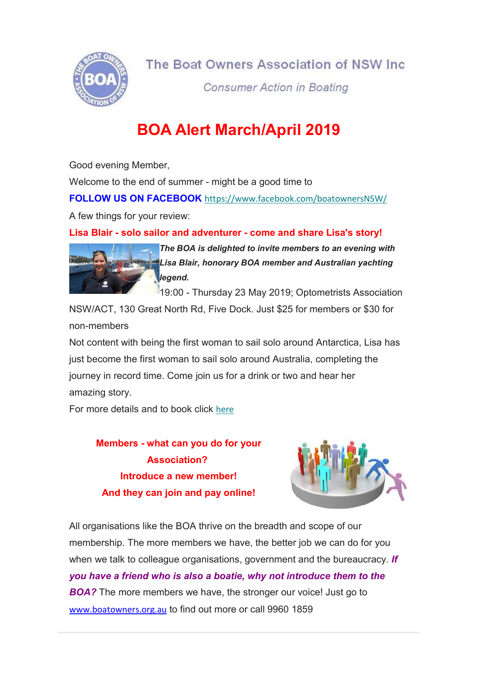

**Consumer Action in Boating** 

# BOA Alert March/April 2019

Good evening Member,

Welcome to the end of summer - might be a good time to

FOLLOW US ON FACEBOOK https://www.facebook.com/boatownersNSW/

A few things for your review:

Lisa Blair - solo sailor and adventurer - come and share Lisa's story!



The BOA is delighted to invite members to an evening with Lisa Blair, honorary BOA member and Australian yachting legend.

19:00 - Thursday 23 May 2019; Optometrists Association

NSW/ACT, 130 Great North Rd, Five Dock. Just \$25 for members or \$30 for non-members

Not content with being the first woman to sail solo around Antarctica, Lisa has just become the first woman to sail solo around Australia, completing the journey in record time. Come join us for a drink or two and hear her amazing story.

For more details and to book click here

Members - what can you do for your Association? Introduce a new member! And they can join and pay online!



All organisations like the BOA thrive on the breadth and scope of our membership. The more members we have, the better job we can do for you when we talk to colleague organisations, government and the bureaucracy. If you have a friend who is also a boatie, why not introduce them to the **BOA?** The more members we have, the stronger our voice! Just go to www.boatowners.org.au to find out more or call 9960 1859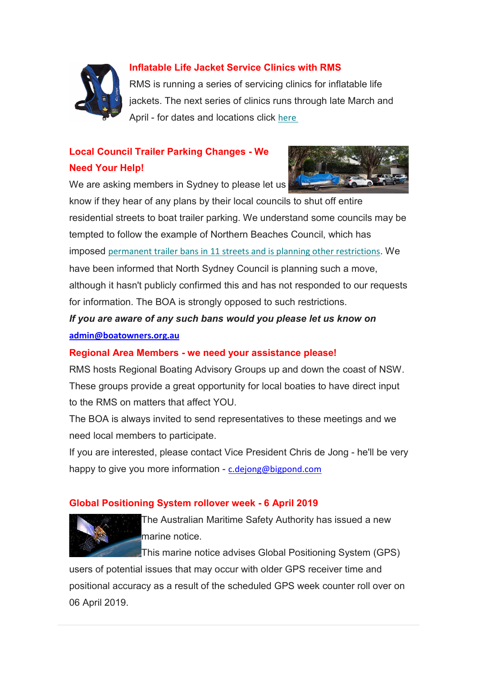

## Inflatable Life Jacket Service Clinics with RMS

RMS is running a series of servicing clinics for inflatable life jackets. The next series of clinics runs through late March and April - for dates and locations click here

# Local Council Trailer Parking Changes - We Need Your Help!

We are asking members in Sydney to please let us



know if they hear of any plans by their local councils to shut off entire residential streets to boat trailer parking. We understand some councils may be tempted to follow the example of Northern Beaches Council, which has imposed permanent trailer bans in 11 streets and is planning other restrictions. We have been informed that North Sydney Council is planning such a move, although it hasn't publicly confirmed this and has not responded to our requests for information. The BOA is strongly opposed to such restrictions.

# If you are aware of any such bans would you please let us know on admin@boatowners.org.au

#### Regional Area Members - we need your assistance please!

RMS hosts Regional Boating Advisory Groups up and down the coast of NSW. These groups provide a great opportunity for local boaties to have direct input to the RMS on matters that affect YOU.

The BOA is always invited to send representatives to these meetings and we need local members to participate.

If you are interested, please contact Vice President Chris de Jong - he'll be very happy to give you more information - c.dejong@bigpond.com

## Global Positioning System rollover week - 6 April 2019



The Australian Maritime Safety Authority has issued a new marine notice.

This marine notice advises Global Positioning System (GPS)

users of potential issues that may occur with older GPS receiver time and positional accuracy as a result of the scheduled GPS week counter roll over on 06 April 2019.